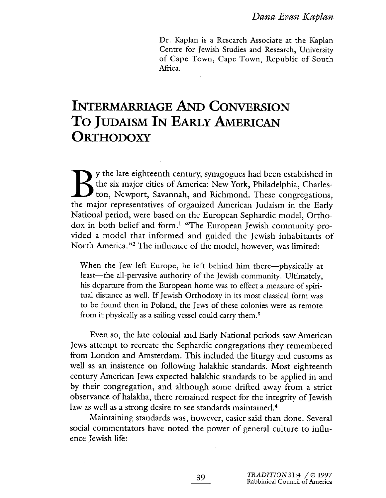Dr. Kaplan is a Research Associate at the Kaplan Centre for Jewish Studies and Research, University of Cape Town, Cape Town, Republic of South Africa.

# **INTERMARRIAGE AND CONVERSION** TO JUDAISM IN EARLY AMERICAN ORTHODOXY

y the late eighteenth century, synagogues had been established in the six major cities of America: New York, Philadelphia, Charleston, Newport, Savannah, and Richmond. These congregations, the major representatives of organized American Judaism in the Early National period, were based on the European Sephardic model, Orthodox in both belief and form.<sup>1</sup> "The European Jewish community provided a model that informed and guided the Jewish inhabitants of North America."2 The influence of the model, however, was limited:

When the Jew left Europe, he left behind him there—physically at least—the all-pervasive authority of the Jewish community. Ultimately, his departure from the European home was to effect a measure of spiritual distance as welL. If Jewish Orthodoxy in its most classical form was to be found then in Poland, the Jews of these colonies were as remote from it physically as a sailing vessel could carry them.<sup>3</sup>

Even so, the late colonial and Early National periods saw American Jews attempt to recreate the Sephardic congregations they remembered from London and Amsterdam. This included the liturgy and customs às well as an insistence on following halakhic standards. Most eighteenth century American Jews expected halakhic standards to be applied in and by their congregation, and although some drifted away from a strict observance of halakha, there remained respect for the integrity of Jewish law as well as a strong desire to see standards maintained.<sup>4</sup>

Maintaining standards was, however, easier said than done. Several social commentators have noted the power of general culture to influence Jewish life: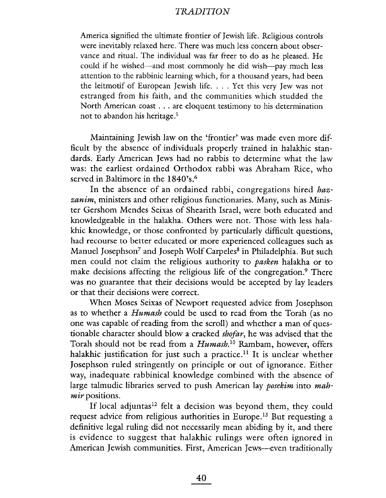America signified the ultimate frontier of Jewish life. Religious controls were inevitably relaxed here. There was much less concern about observance and ritual. The individual was far freer to do as he pleased. He could if he wished-and most commonly he did wish-pay much less attention to the rabbinic learning which, for a thousand years, had been the leitmotif of European Jewish life. . . . Yet this very Jew was not estranged from his faith, and the communities which studded the North American coast. . . are eloquent testimony to his determination not to abandon his heritage.<sup>5</sup>

Maintaining Jewish law on the 'frontier' was made even more difficult by the absence of individuals properly trained in halakhic standards. Early American Jews had no rabbis to determine what the law was: the earliest ordained Orthodox rabbi was Abraham Rice, who served in Baltimore in the 1840's.<sup>6</sup>

In the absence of an ordained rabbi, congregations hired hazzanim, ministers and other religious functionaries. Many, such as Minister Gershom Mendes Seixas of Shearith Israel, were both educated and knowledgeable in the halakha. Others were not. Those with less halakhic knowledge, or those confronted by particularly difficult questions, had recourse to better educated or more experienced colleagues such as Manuel Josephson<sup>7</sup> and Joseph Wolf Carpeles<sup>8</sup> in Philadelphia. But such men could not claim the religious authority to *pasken* halakha or to make decisions affecting the religious life of the congregation.<sup>9</sup> There was no guarantee that their decisions would be accepted by lay leaders or that their decisions were correct.

When Moses Seixas of Newport requested advice from Josephson as to whether a *Humash* could be used to read from the Torah (as no one was capable of reading from the scroll) and whether a man of questionable character should blow a cracked shofar, he was advised that the Torah should not be read from a *Humash*.<sup>10</sup> Rambam, however, offers halakhic justification for just such a practice.<sup>11</sup> It is unclear whether Josephson ruled stringently on principle or out of ignorance. Either way, inadequate rabbinical knowledge combined with the absence of large talmudic libraries served to push American lay *posekim* into mahmir positions.

If local adjuntas<sup>12</sup> felt a decision was beyond them, they could request advice from religious authorities in Europe.13 But requesting a definitive legal ruling did not necessarily mean abiding by it, and there is evidence to suggest that halakhic rulings were often ignored in American Jewish communities. First, American Jews—even traditionally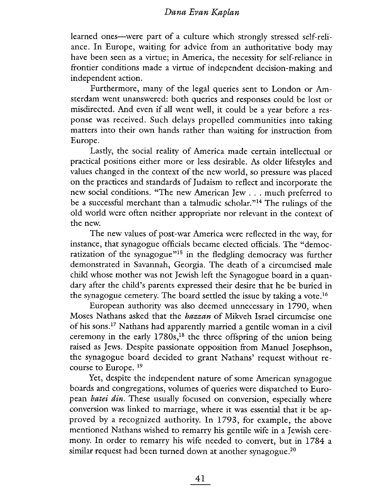learned ones-were part of a culture which strongly stressed self-reliance. In Europe, waiting for advice from an authoritative body may have been seen as a virtue; in America, the necessity for self-reliance in frontier conditions made a virtue of independent decision-making and independent action.

Furthermore, many of the legal queries sent to London or Amsterdam went unanswered: both queries and responses could be lost or misdirected. And even if all went well, it could be a year before a response was received. Such delays propelled communities into taking matters into their own hands rather than waiting for instruction from Europe.

Lastly, the social reality of America made certain intellectual or practical positions either more or less desirable. As older lifestyles and values changed in the context of the new world, so pressure was placed on the practices and standards of Judaism to reflect and incorporate the new social conditions. "The new American Jew. . . much preferred to be a successful merchant than a talmudic scholar. "14 The rulings of the old world were often neither appropriate nor relevant in the context of the new.

The new values of post-war America were reflected in the way, for instance, that synagogue officials became elected officials. The "democratization of the synagogue<sup>"15</sup> in the fledgling democracy was further demonstrated in Savannah, Georgia. The death of a circumcised male child whose mother was not Jewish left the Synagogue board in a quandary after the child's parents expressed their desire that he be buried in the synagogue cemetery. The board settled the issue by taking a vote.<sup>16</sup>

European authority was also deemed unnecessary in 1790, when Moses Nathans asked that the *hazzan* of Mikveh Israel circumcise one of his sons.<sup>17</sup> Nathans had apparently married a gentile woman in a civil ceremony in the early  $1780s$ ,<sup>18</sup> the three offspring of the union being raised as Jews. Despite passionate opposition from Manuel Josephson, the synagogue board decided to grant Nathans' request without recourse to Europe. 19

Yet, despite the independent nature of some American synagogue boards and congregations, volumes of queries were dispatched to European *batei din*. These usually focused on conversion, especially where conversion was linked to marriage, where it was essential that it be approved by a recognized authority. In 1793, for example, the above mentioned Nathans wished to remarry his gentile wife in a Jewish ceremony. In order to remarry his wife needed to convert, but in 1784 a similar request had been turned down at another synagogue.<sup>20</sup>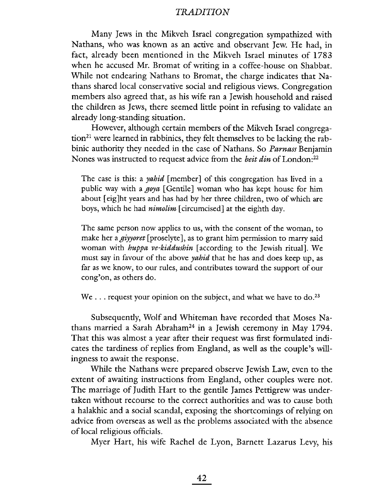Many Jews in the Mikveh Israel congregation sympathized with Nathans, who was known as an active and observant Jew. He had, in fact, already been mentioned in the Mikveh Israel minutes of 1783 when he accused Mr. Bromat of writing in a coffee-house on Shabbat. While not endearing Nathans to Bromat, the charge indicates that Nathans shared local conservative social and religious views. Congregation mem bers also agreed that, as his wife ran a Jewish household and raised the children as Jews, there seemed little point in refusing to validate an already long-standing situation.

However, although certain members of the Mikveh Israel congregation<sup>21</sup> were learned in rabbinics, they felt themselves to be lacking the rabbinic authority they needed in the case of Nathans. So Parnass Benjamin Nones was instructed to request advice from the *beit din* of London:<sup>22</sup>

The case is this: a *yahid* [member] of this congregation has lived in a public way with a  $goya$  [Gentile] woman who has kept house for him about (eig)ht years and has had by her three children, two of which are boys, which he had *nimolim* [circumcised] at the eighth day.

The same person now applies to us, with the consent of the woman, to make her a *giyyoret* [proselyte], as to grant him permission to marry said woman with huppa ve-kiddushin (according to the Jewish ritual). We must say in favour of the above *yahid* that he has and does keep up, as far as we know, to our rules, and contributes toward the support of our cong'on, as others do.

We . . . request your opinion on the subject, and what we have to do.<sup>23</sup>

Subsequently, Wolf and Whteman have recorded that Moses Nathans married a Sarah Abraham24 in a Jewish ceremony in May 1794. That this was almost a year after their request was first formulated indicates the tardiness of replies from England, as well as the couple's willingness to await the response.

While the Nathans were prepared observe Jewish Law, even to the extent of awaiting instructions from England, other couples were not. The marriage of Judith Hart to the gentile James Pettigrew was undertaken without recourse to the correct authorities and was to cause both a halakhic and a social scandal, exposing the shortcomings of relying on advice from overseas as well as the problems associated with the absence of local religious officials.

Myer Hart, his wife Rachel de Lyon, Barnett Lazarus Levy, his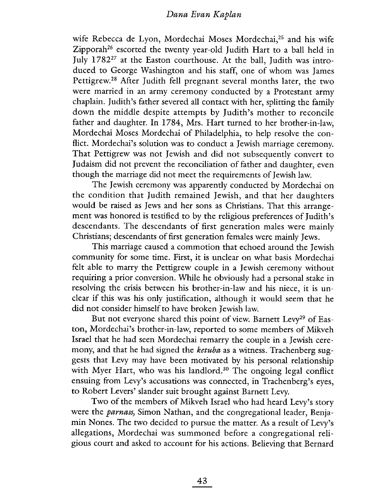wife Rebecca de Lyon, Mordechai Moses Mordechai,<sup>25</sup> and his wife Zipporah<sup>26</sup> escorted the twenty year-old Judith Hart to a ball held in July 178227 at the Easton courthouse. At the ball, Judith was introduced to George Washington and his staff, one of whom was James Pettigrew.28 Mter Judith fell pregnant several months later, the two were married in an army ceremony conducted by a Protestant army chaplain. Judith's father severed all contact with her, splitting the family down the middle despite attempts by Judith's mother to reconcile father and daughter. In 1784, Mrs. Hart turned to her brother-in-law, Mordechai Moses Mordechai of Philadelphia, to help resolve the conflict. Mordechai's solution was to conduct a Jewish marriage ceremony. That Pettigrew was not Jewish and did not subsequently convert to Judaism did not prevent the reconciliation of father and daughter, even though the marriage did not meet the requirements of Jewish law.

The Jewish ceremony was apparently conducted by Mordechai on the condition that Judith remained Jewish, and that her daughters would be raised as Jews and her sons as Christians. That this arrangement was honored is testified to by the religious preferences of Judith's descendants. The descendants of first generation males were mainly Christians; descendants of first generation females were mainly Jews.

This marriage caused a commotion that echoed around the Jewish community for some time. First, it is unclear on what basis Mordechai felt able to marry the Pettigrew couple in a Jewish ceremony without requiring a prior conversion. While he obviously had a personal stake in resolving the crisis between his brother-in-law and his niece, it is unclear if this was his only justification, although it would seem that he did not consider himself to have broken Jewish law.

But not everyone shared this point of view. Barnett Levy<sup>29</sup> of Easton, Mordechai's brother-in-law, reported to some members of Mikveh Israel that he had seen Mordechai remarry the couple in a Jewish ceremony, and that he had signed the *ketuba* as a witness. Trachenberg suggests that Levy may have been motivated by his personal relationship with Myer Hart, who was his landlord.<sup>30</sup> The ongoing legal conflict ensuing from Levy's accusations was connected, in Trachenberg's eyes, to Robert Levers' slander suit brought against Barnett Levy.

Two of the members of Mikveh Israel who had heard Levy's story were the *parnass*, Simon Nathan, and the congregational leader, Benjamin Nones. The two decided to pursue the matter. As a result of Levy's allegations, Mordechai was summoned before a congregational religious court and asked to account for his actions. Believing that Bernard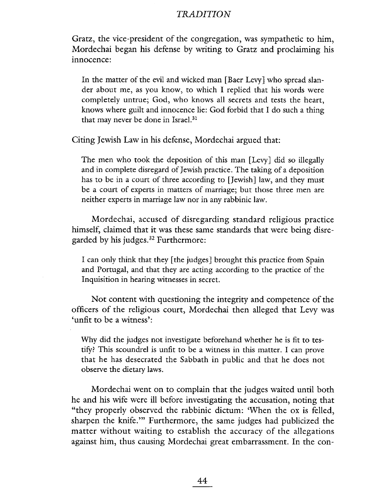Gratz, the vice-president of the congregation, was sympathetic to him, Mordechai began his defense by writing to Gratz and proclaiming his innocence:

In the matter of the evil and wicked man [Baer Levy] who spread slander about me, as you know, to which I replied that his words were completely untrue; God, who knows all secrets and tests the heart, knows where guilt and innocence lie: God forbid that I do such a thing that may never be done in Israel.<sup>31</sup>

Citing Jewish Law in his defense, Mordechai argued that:

The men who took the deposition of this man (Levy) did so illegally and in complete disregard of Jewish practice. The taking of a deposition has to be in a court of three according to (Jewish) law, and they must be a court of experts in matters of marriage; but those three men are neither experts in marriage law nor in any rabbinic law.

Mordechai, accused of disregarding standard religious practice himself, claimed that it was these same standards that were being disregarded by his judges. $32$  Furthermore:

I can only think that they [the judges] brought this practice from Spain and Portugal, and that they are acting according to the practice of the Inquisition in hearing witnesses in secret.

Not content with questioning the integrity and competence of the officers of the religious court, Mordechai then alleged that Levy was 'unfit to be a witness':

Why did the judges not investigate beforehand whether he is fit to testify? This scoundrel is unfit to be a witness in this matter. I can prove that he has desecrated the Sabbath in public and that he does not observe the dietary laws.

Mordechai went on to complain that the judges waited until both he and his wife were ill before investigating the accusation, noting that "they properly observed the rabbinic dictum: 'When the ox is felled, sharpen the knife.'" Furthermore, the same judges had publicized the matter without waiting to establish the accuracy of the allegations against him, thus causing Mordechai great embarrassment. In the con-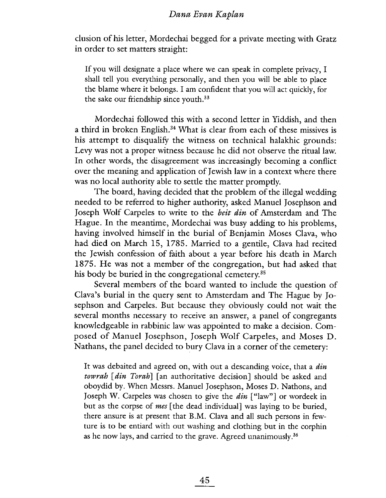clusion of his letter, Mordechai begged for a private meeting with Gratz in order to set matters straight:

If you will designate a place where we can speak in complete privacy, I shall tell you everything personally, and then you will be able to place the blame where it belongs. I am confident that you will act quickly, for the sake our friendship since youth.33

Mordechai followed this with a second letter in Yiddish, and then a third in broken English.<sup>34</sup> What is clear from each of these missives is his attempt to disqualify the witness on technical halakhic grounds: Levy was not a proper witness because he did not observe the ritual law. In other words, the disagreement was increasingly becoming a conflict over the meaning and application of Jewish law in a context where there was no local authority able to settle the matter prompdy.

The board, having decided that the problem of the ilegal wedding needed to be referred to higher authority, asked Manuel Josephson and Joseph Wolf Carpeles to write to the *beit din* of Amsterdam and The Hague. In the meantime, Mordechai was busy adding to his problems, having involved himself in the burial of Benjamin Moses Clava, who had died on March 15, 1785. Married to a gentile, Clava had recited the Jewish confession of faith about a year before his death in March 1875. He was not a member of the congregation, but had asked that his body be buried in the congregational cemetery.<sup>35</sup>

Several members of the board wanted to include the question of Clava's burial in the query sent to Amsterdam and The Hague by Josephson and Carpeles. But because they obviously could not wait the several months necessary to receive an answer, a panel of congregants knowledgeable in rabbinic law was appointed to make a decision. Composed of Manuel Josephson, Joseph Wolf Carpeles, and Moses D. Nathans, the panel decided to bury Clava in a corner of the cemetery:

It was debaited and agreed on, with out a descanding voice, that a *din* towrah [din Torah] [an authoritative decision] should be asked and oboydid by. When Messrs. Manuel Josephson, Moses D. Nathons, and Joseph W. Carpeles was chosen to give the  $\dim$  ["law"] or wordeek in but as the corpse of *mes* [the dead individual] was laying to be buried, there an sure is at present that B.M. Clava and all such persons in fewture is to be entiard with out washing and clothing but in the corphin as he now lays, and carried to the grave. Agreed unanimously.36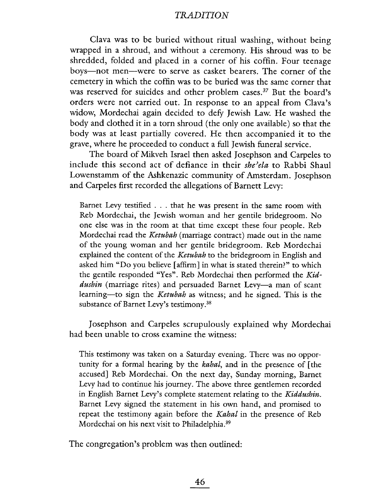Clava was to be buried without ritual washing, without being wrapped in a shroud, and without a ceremony. His shroud was to be shredded, folded and placed in a corner of his coffin. Four teenage boys-not men-were to serve as casket bearers. The corner of the cemetery in which the coffin was to be buried was the same corner that was reserved for suicides and other problem cases.<sup>37</sup> But the board's orders were not carried out. In response to an appeal from Clava's widow, Mordechai again decided to defy Jewish Law. He washed the body and clothed it in a torn shroud (the only one available) so that the body was at least partially covered. He then accompanied it to the grave, where he proceeded to conduct a full Jewish funeral service.

The board of Mikveh Israel then asked Josephson and Carpeles to include this second act of defiance in their she'ela to Rabbi Shaul Lowenstamm of the Ashkenazic community of Amsterdam. Josephson and Carpeles first recorded the allegations of Barnett Levy:

Barnet Levy testified. . . that he was present in the same room with Reb Mordechai, the Jewish woman and her gentile bridegroom. No one else was in the room at that time except these four people. Reb Mordechai read the Ketubah (marriage contract) made out in the name of the young woman and her gentile bridegroom. Reb Mordechai explained the content of the *Ketubah* to the bridegroom in English and asked him "Do you believe (affrm) in what is stated therein?" to which the gentile responded "Yes". Reb Mordechai then performed the Kiddushin (marriage rites) and persuaded Barnet Levy-a man of scant learning-to sign the Ketubah as witness; and he signed. This is the substance of Barnet Levy's testimony.<sup>38</sup>

Josephson and Carpeles scrupulously explained why Mordechai had been unable to cross examine the witness:

This testimony was taken on a Saturday evening. There was no opportunity for a formal hearing by the *kahal*, and in the presence of [the accused) Reb Mordechai. On the next day, Sunday morning, Barnet Levy had to continue his journey. The above three gentlemen recorded in English Barnet Levy's complete statement relating to the Kiddushin. Barnet Levy signed the statement in his own hand, and promised to repeat the testimony again before the Kahal in the presence of Reb Mordechai on his next visit to Philadelphia.39

The congregation's problem was then outlined: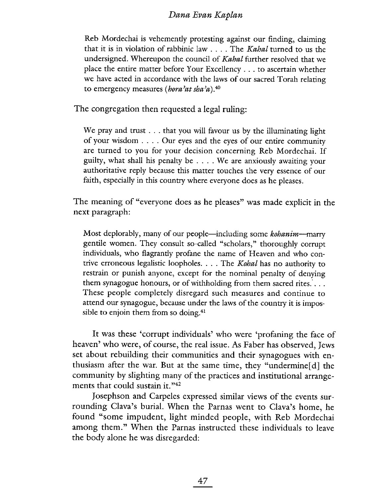Reb Mordechai is vehemently protesting against our finding, claiming that it is in violation of rabbinic law  $\ldots$ . The *Kahal* turned to us the undersigned. Whereupon the council of *Kabal* further resolved that we place the entire matter before Your Excellency . . . to ascertain whether we have acted in accordance with the laws of our sacred Torah relating to emergency measures (hora'at sha'a).<sup>40</sup>

The congregation then requested a legal ruling:

We pray and trust  $\dots$  that you will favour us by the illuminating light of your wisdom . . . . Our eyes and the eyes of our entire community are turned to you for your decision concerning Reb Mordechai. If guilty, what shall his penalty be . . . . We are anxiously awaiting your authoritative reply because this matter touches the very essence of our faith, especially in this country where everyone does as he pleases.

The meaning of "everyone does as he pleases" was made explicit in the next paragraph:

Most deplorably, many of our people—including some kohanim—marry gentile women. They consult so-called "scholars," thoroughly corrupt individuals, who flagrantly profane the name of Heaven and who contrive erroneous legalistic loopholes.  $\ldots$  The *Kohal* has no authority to restrain or punish anyone, except for the nominal penalty of denying them synagogue honours, or of withholding from them sacred rites.'. . . These people completely disregard such measures and continue to attend our synagogue, because under the laws of the country it is impossible to enjoin them from so doing.<sup>41</sup>

It was these 'corrupt individuals' who were 'profaning the face of heaven' who were, of course, the real issue. As Faber has observed, Jews set about rebuilding their communities and their synagogues with enthusiasm after the war. But at the same time, they "undermine [d] the community by slighting many of the practices and institutional arrangements that could sustain it."<sup>42</sup>

Josephson and Carpeles expressed similar views of the events surrounding Clava's burial. When the Parnas went to Clava's home, he found "some impudent, light minded people, with Reb Mordechai among them." When the Parnas instructed these individuals to leave the body alone he was disregarded: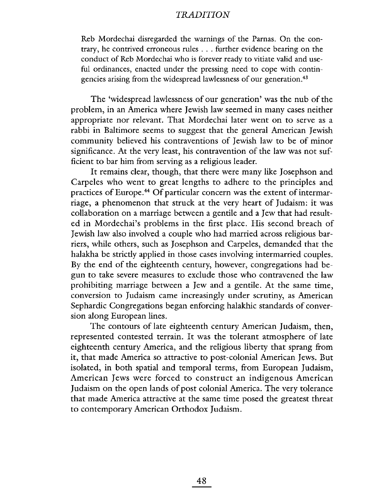Reb Mordechai disregarded the warnings of the Parnas. On the contrary, he contrived erroneous rules . . . further evidence bearing on the conduct of Reb Mordechai who is forever ready to vitiate valid and useful ordinances, enacted under the pressing need to cope with contingencies arising from the widespread lawlessness of our generation.<sup>43</sup>

The 'widespread lawlessness of our generation' was the nub of the problem, in an America where Jewish law seemed in many cases neither appropriate nor relevant. That Mordechai later went on to serve as a rabbi in Baltimore seems to suggest that the general American Jewish community believed his contraventions of Jewish law to be of minor significance. At the very least, his contravention of the law was not sufficient to bar him from serving as a religious leader.

It remains clear, though, that there were many like Josephson and Carpeles who went to great lengths to adhere to the principles and practices of Europe.<sup>44</sup> Of particular concern was the extent of intermarriage, a phenomenon that struck at the very heart of Judaism: it was collaboration on a marriage between a gentile and a Jew that had resulted in Mordechai's problems in the first place. His second breach of Jewish law also involved a couple who had married across religious barriers, while others, such as Josephson and Carpeles, demanded that the halakha be strictly applied in those cases involving intermarried couples. By the end of the eighteenth century, however, congregations had begun to take severe measures to exclude those who contravened the law prohibiting marriage between a Jew and a gentile. At the same time, conversion to Judaism came increasingly under scrutiny, as American Sephardic Congregations began enforcing halakhic standards of conversion along European lines.

The contours of late eighteenth century American Judaism, then, represented contested terrain. It was the tolerant atmosphere of late eighteenth century America, and the religious liberty that sprang from it, that made America so attractive to post-colonial American Jews. But isolated, in both spatial and temporal terms, from European Judaism, American Jews were forced to construct an indigenous American Judaism on the open lands of post colonial America. The very tolerance that made America attractive at the same time posed the greatest threat to contemporary American Orthodox Judaism.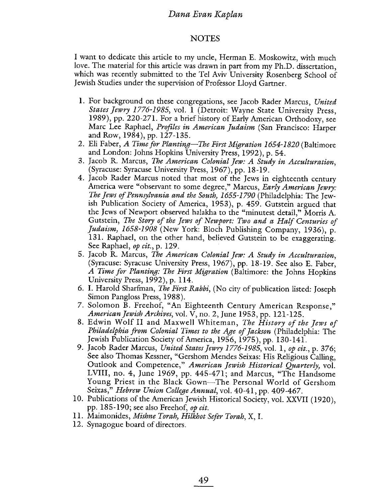#### **NOTES**

I want to dedicate this article to my uncle, Herman E. Moskowitz, with much love. The material for this article was drawn in part from my Ph.D. dissertation, which was recently submitted to the Tel Aviv University Rosenberg School of Jewish Studies under the supervision of Professor Lloyd Gartner.

- 1. For background on these congregations, see Jacob Rader Marcus, United States Jewry 1776-1985, voL. I (Detroit: Wayne State University Press, 1989), pp. 220-271. For a brief history of Early American Orthodoxy, see Marc Lee Raphael, Profiles in American Judaism (San Francisco: Harper and Row, 1984), pp. 127-135.
- 2. Eli Faber, A Time for Planting-The First Migration 1654-1820 (Baltimore and London: Johns Hopkins University Press, 1992), p. 54.
- 3. Jacob R. Marcus, The American Colonial Jew: A Study in Acculturation, (Syracuse: Syracuse University Press, 1967), pp. 18-19.
- 4. Jacob Rader Marcus noted that most of the Jews in eighteenth century America were "observant to some degree," Marcus, *Early American Jewry*: The Jews of Pennsylvania and the South, 1655-1790 (Philadelphia: The Jewish Publication Society of America, 1953), p. 459. Gutstein argued that the Jews of Newport observed halakha to the "minutest detail," Morris A. Gutstein, The Story of the Jews of Newport: Two and a Half Centuries of Judaism) 1658-1908 (New York: Bloch Publishing Company, 1936), p. 131. Raphael, on the other hand, believed Gutstein to be exaggerating. See Raphael, op cit., p. 129.
- 5. Jacob R. Marcus, The American Colonial Jew: A Study in Acculturation, (Syracuse: Syracuse University Press, 1967), pp. 18-19. See also E. Faber, A Time for Planting: The First Migration (Baltimore: the Johns Hopkins University Press, 1992), p. 114.
- 6. i. Harold Sharfman, The First Rabbi, (No city of publication listed: Joseph Simon Pangloss Press, 1988).
- 7. Solomon B. Freehof, "An Eighteenth Century American Response," American Jewish Archives, vol. V, no. 2, June 1953, pp. 121-125.
- 8. Edwin Wolf II and Maxwell Whiteman, The History of the Jews of Philadelphia from Colonial Times to the Age of Jackson (Philadelphia: The Jewish Publication Society of America, 1956, 1975), pp. 130-141.
- 9. Jacob Rader Marcus, United States Jewry 1776-1985, vol. 1, op cit., p. 376; See also Thomas Kessner, "Gershom Mendes Seixas: His Religious Callng, Outlook and Competence," American Jewish Historical Quarterly, vol. LVIII, no. 4, June 1969, pp. 445-471; and Marcus, "The Handsome Young Priest in the Black Gown-The Personal World of Gershom Seixas," Hebrew Union College Annual, vol. 40-41, pp. 409-467.
- 10. Publications of the American Jewish Historical Society, vol. XXVII (1920), pp. 185-190; see also Freehof, op cit.
- 11. Maimonides, Mishne Torah, Hilkhot Sefer Torah, X, I.
- 12. Synagogue board of directors.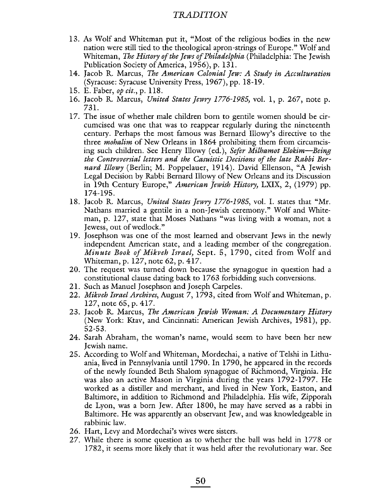- 13. As Wolf and Whiteman put it, "Most of the religious bodies in the new nation were still tied to the theological apron-strings of Europe." Wolf and Whiteman, The History of the Jews of Philadelphia (Philadelphia: The Jewish Publication Society of America, 1956), p. 131.
- 14. Jacob R. Marcus, The American Colonial Jew: A Study in Acculturation (Syracuse: Syracuse University Press, 1967), pp. 18-19.
- 15. E. Faber, op cit., p. 118.
- 16. Jacob R. Marcus, United States Jewry 1776-1985, vol. 1, p. 267, note p. 731.
- 17. The issue of whether male children born to gentile women should be circumcised was one that was to reappear regularly during the nineteenth century. Perhaps the most famous was Bernard Ilowy's directive to the three *mohalim* of New Orleans in 1864 prohibiting them from circumcising such children. See Henry Illowy (ed.), Sefer Milhamot Elokim-Being the Controversial letters and the Casuistic Decisions of the late Rabbi Bernard Illowy (Berlin; M. Poppelauer, 1914). David Ellenson, "A Jewish Legal Decision by Rabbi Bernard Ilowy of New Orleans and its Discussion in 19th Century Europe," American Jewish History, LXIX, 2, (1979) pp. 174-195.
- 18. Jacob R. Marcus, United States Jewry 1776-1985, vol. I. states that "Mr. Nathans married a gentile in a non-Jewish ceremony." Wolf and Whiteman, p. 127, state that Moses Nathans "was living with a woman, not a Jewess, out of wedlock."
- 19. Josephson was one of the most learned and observant Jews in the newly independent American state, and a leading member of the congregation. Minute Book of Mikveh Israel, Sept. 5, 1790, cited from Wolf and Whiteman, p. 127, note 62, p. 417.
- 20. The request was turned down because the synagogue in question had a constitutional clause dating back to 1763 forbidding such conversions.
- 21. Such as Manuel Josephson and Joseph Carpeles.
- 22. *Mikveh Israel Archives*, August 7, 1793, cited from Wolf and Whiteman, p. 127, note 65, p. 417.
- 23. Jacob R. Marcus, The American Jewish Woman: A Documentary History (New York: Ktav, and Cincinnati: American Jewish Archives, 1981), pp. 52-53.
- 24. Sarah Abraham, the woman's name, would seem to have been her new Jewish name.
- 25. According to Wolf and Whiteman, Mordechai, a native of Telshi in Lithuania, lived in Pennsylvania until 1790. In 1790, he appeared in the records of the newly founded Beth Shalom synagogue of Richmond) Virginia. He was also an active Mason in Virginia during the years 1792-1797. He worked as a distiller and merchant, and lived in New York, Easton, and Baltimore) in addition to Richmond and Philadelphia. His wife, Zipporah de Lyon, was a born Jew. Afer 1800, he may have served as a rabbi in Baltimore. He was apparently an observant Jew, and was knowledgeable in rabbinic law.
- 26. Hart, Levy and Mordechai's wives were sisters.
- 27. While there is some question as to whether the ball was held in 1778 or 1782, it seems more likely that it was held after the revolutionary war. See